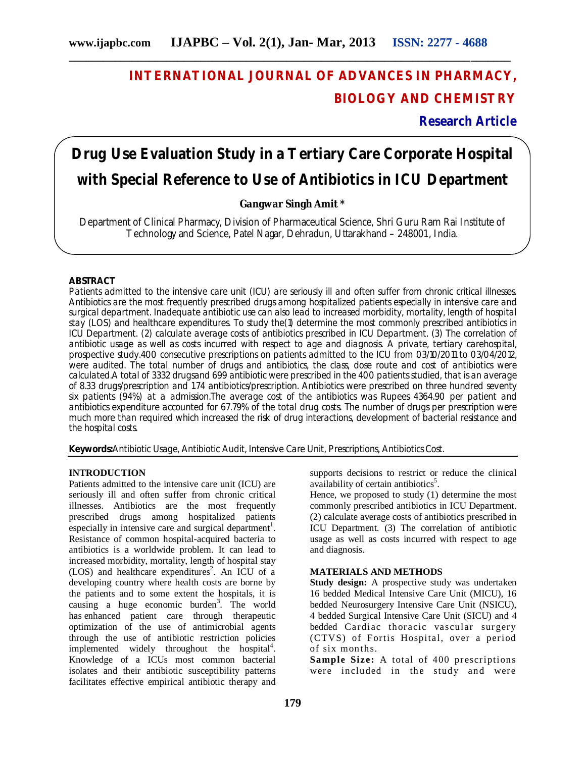## **INTERNATIONAL JOURNAL OF ADVANCES IN PHARMACY, BIOLOGY AND CHEMISTRY**

**Research Article**

# **Drug Use Evaluation Study in a Tertiary Care Corporate Hospital with Special Reference to Use of Antibiotics in ICU Department**

#### **Gangwar Singh Amit \***

Department of Clinical Pharmacy, Division of Pharmaceutical Science, Shri Guru Ram Rai Institute of Technology and Science, Patel Nagar, Dehradun, Uttarakhand – 248001, India.

#### **ABSTRACT**

Patients admitted to the intensive care unit (ICU) are seriously ill and often suffer from chronic critical illnesses. Antibiotics are the most frequently prescribed drugs among hospitalized patients especially in intensive care and surgical department. Inadequate antibiotic use can also lead to increased morbidity, mortality, length of hospital stay (LOS) and healthcare expenditures. To study the(1) determine the most commonly prescribed antibiotics in ICU Department. (2) calculate average costs of antibiotics prescribed in ICU Department. (3) The correlation of antibiotic usage as well as costs incurred with respect to age and diagnosis. A private, tertiary carehospital, prospective study.400 consecutive prescriptions on patients admitted to the ICU from 03/10/2011 to 03/04/2012, were audited. The total number of drugs and antibiotics, the class, dose route and cost of antibiotics were calculated.A total of 3332 drugsand 699 antibiotic were prescribed in the 400 patients studied, that is an average of 8.33 drugs/prescription and 1.74 antibiotics/prescription. Antibiotics were prescribed on three hundred seventy six patients (94%) at a admission.The average cost of the antibiotics was Rupees 4364.90 per patient and antibiotics expenditure accounted for 67.79% of the total drug costs. The number of drugs per prescription were much more than required which increased the risk of drug interactions, development of bacterial resistance and the hospital costs.

**Keywords:**Antibiotic Usage, Antibiotic Audit, Intensive Care Unit, Prescriptions, Antibiotics Cost.

#### **INTRODUCTION**

Patients admitted to the intensive care unit (ICU) are seriously ill and often suffer from chronic critical illnesses. Antibiotics are the most frequently prescribed drugs among hospitalized patients especially in intensive care and surgical department<sup>1</sup>. Resistance of common hospital-acquired bacteria to antibiotics is a worldwide problem. It can lead to increased morbidity, mortality, length of hospital stay (LOS) and healthcare expenditures<sup>2</sup>. An ICU of a developing country where health costs are borne by the patients and to some extent the hospitals, it is causing a huge economic burden<sup>3</sup>. The world has enhanced patient care through therapeutic optimization of the use of antimicrobial agents through the use of antibiotic restriction policies implemented widely throughout the hospital $4$ . Knowledge of a ICUs most common bacterial isolates and their antibiotic susceptibility patterns facilitates effective empirical antibiotic therapy and

supports decisions to restrict or reduce the clinical availability of certain antibiotics<sup>5</sup>.

Hence, we proposed to study (1) determine the most commonly prescribed antibiotics in ICU Department. (2) calculate average costs of antibiotics prescribed in ICU Department. (3) The correlation of antibiotic usage as well as costs incurred with respect to age and diagnosis.

#### **MATERIALS AND METHODS**

**Study design:** A prospective study was undertaken 16 bedded Medical Intensive Care Unit (MICU), 16 bedded Neurosurgery Intensive Care Unit (NSICU), 4 bedded Surgical Intensive Care Unit (SICU) and 4 bedded Cardiac thoracic vascular surgery (CTVS) of Fortis Hospital, over a period of six months.

**Sample Size:** A total of 400 prescriptions were included in the study and were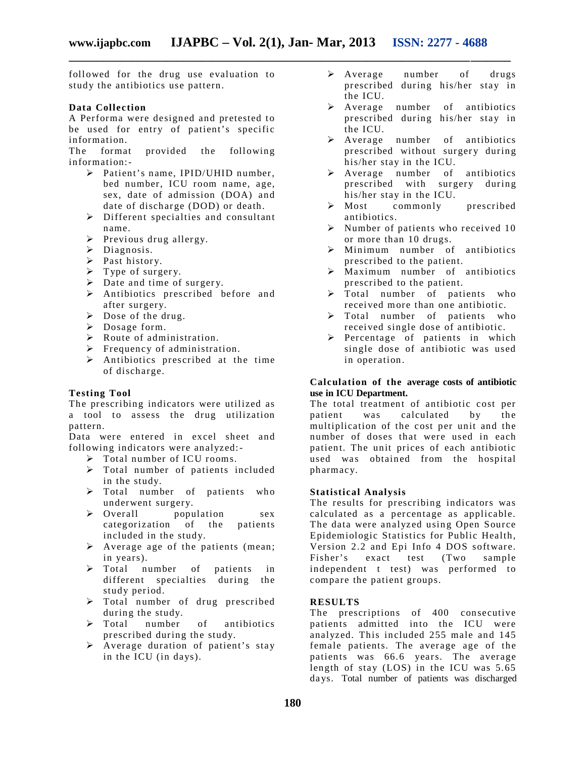followed for the drug use evaluation to study the antibiotics use pattern.

#### **Data Collection**

A Performa were designed and pretested to be used for entry of patient's specific information.

The format provided the following information:-

- Patient's name, IPID/UHID number, bed number, ICU room name, age, sex, date of admission (DOA) and date of discharge (DOD) or death.
- Different specialties and consultant name.
- $\triangleright$  Previous drug allergy.
- > Diagnosis.
- $\triangleright$  Past history.
- $\triangleright$  Type of surgery.
- $\triangleright$  Date and time of surgery.
- Antibiotics prescribed before and after surgery.
- $\triangleright$  Dose of the drug.
- Dosage form.
- $\triangleright$  Route of administration.
- $\triangleright$  Frequency of administration.
- $\triangleright$  Antibiotics prescribed at the time of discharge.

#### **Testing Tool**

The prescribing indicators were utilized as a tool to assess the drug utilization pattern.

Data were entered in excel sheet and following indicators were analyzed:-

- $\triangleright$  Total number of ICU rooms.
- Total number of patients included in the study.
- $\triangleright$  Total number of patients who underwent surgery.<br>  $\triangleright$  Overall popu
- population sex categorization of the patients included in the study.
- $\triangleright$  Average age of the patients (mean; in years).
- > Total number of patients in different specialties during the study period.
- > Total number of drug prescribed during the study.
- $\triangleright$  Total number of antibiotics prescribed during the study.
- $\triangleright$  Average duration of patient's stay in the ICU (in days).
- Average number of drugs prescribed during his/her stay in the ICU.
- > Average number of antibiotics prescribed during his/her stay in the ICU.
- > Average number of antibiotics prescribed without surgery during his/her stay in the ICU.
- > Average number of antibiotics prescribed with surgery during his/her stay in the ICU.
- $\triangleright$  Most commonly prescribed antibiotics.
- $\triangleright$  Number of patients who received 10 or more than 10 drugs.
- $\triangleright$  Minimum number of antibiotics prescribed to the patient.
- $\triangleright$  Maximum number of antibiotics prescribed to the patient.
- > Total number of patients who received more than one antibiotic.
- > Total number of patients who recei ved single dose of antibiotic.
- $\triangleright$  Percentage of patients in which single dose of antibiotic was used in operation.

#### **Calculation of the average costs of antibiotic use in ICU Department.**

The total treatment of antibiotic cost per patient was calculated by the multiplication of the cost per unit and the number of doses that were used in each patient. The unit prices of each antibiotic used was obtained from the hospital pharmacy.

#### **Statistical Analysis**

The results for prescribing indicators was calculated as a percentage as applicable. The data were analyzed using Open Source Epidemiologic Statistics for Public Health, Version 2.2 and Epi Info 4 DOS software. Fisher's exact test (Two sample independent t test) was performed to compare the patient groups.

#### **RESULTS**

The prescriptions of 400 consecutive patients admitted into the ICU were analyzed. This included 255 male and 145 female patients. The average age of the patients was 66.6 years. The average length of stay  $(LOS)$  in the ICU was  $5.65$ da ys. Total number of patients was discharged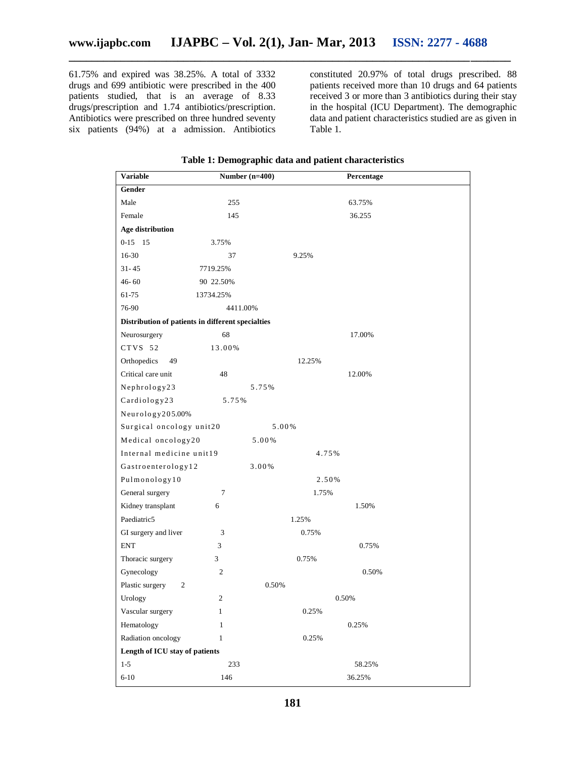61.75% and expired was 38.25%. A total of 3332 drugs and 699 antibiotic were prescribed in the 400 patients studied, that is an average of 8.33 drugs/prescription and 1.74 antibiotics/prescription. Antibiotics were prescribed on three hundred seventy six patients (94%) at a admission. Antibiotics

constituted 20.97% of total drugs prescribed. 88 patients received more than 10 drugs and 64 patients received 3 or more than 3 antibiotics during their stay in the hospital (ICU Department). The demographic data and patient characteristics studied are as given in Table 1.

| <b>Variable</b>                                   | Number $(n=400)$ | Percentage |
|---------------------------------------------------|------------------|------------|
| Gender                                            |                  |            |
| Male                                              | 255              | 63.75%     |
| Female                                            | 145              | 36.255     |
| Age distribution                                  |                  |            |
| $0-15$ 15                                         | 3.75%            |            |
| 16-30                                             | 37               | 9.25%      |
| $31 - 45$                                         | 7719.25%         |            |
| $46 - 60$                                         | 90 22.50%        |            |
| 61-75                                             | 13734.25%        |            |
| 76-90                                             | 4411.00%         |            |
| Distribution of patients in different specialties |                  |            |
| Neurosurgery                                      | 68               | 17.00%     |
| CTVS 52                                           | 13.00%           |            |
| Orthopedics<br>49                                 |                  | 12.25%     |
| Critical care unit                                | 48               | 12.00%     |
| Nephrology23                                      |                  | 5.75%      |
| Cardiology23                                      | 5.75%            |            |
| Neurology205.00%                                  |                  |            |
| Surgical oncology unit20                          |                  | 5.00%      |
| Medical oncology20                                |                  | 5.00%      |
| Internal medicine unit19                          |                  | 4.75%      |
| Gastroenterology12                                |                  | 3.00%      |
| Pulmonology10                                     |                  | 2.50%      |
| General surgery                                   | 7                | 1.75%      |
| Kidney transplant                                 | 6                | 1.50%      |
| Paediatric5                                       |                  | 1.25%      |
| GI surgery and liver                              | 3                | 0.75%      |
| <b>ENT</b>                                        | 3                | 0.75%      |
| Thoracic surgery                                  | 3                | 0.75%      |
| Gynecology                                        | $\overline{c}$   | 0.50%      |
| Plastic surgery<br>2                              |                  | 0.50%      |
| Urology                                           | 2                | 0.50%      |
| Vascular surgery                                  | 1                | 0.25%      |
| Hematology                                        | $\mathbf{1}$     | 0.25%      |
| Radiation oncology                                | $\mathbf{1}$     | 0.25%      |
| Length of ICU stay of patients                    |                  |            |
| $1-5$                                             | 233              | 58.25%     |
| $6 - 10$                                          | 146              | 36.25%     |

#### **Table 1: Demographic data and patient characteristics**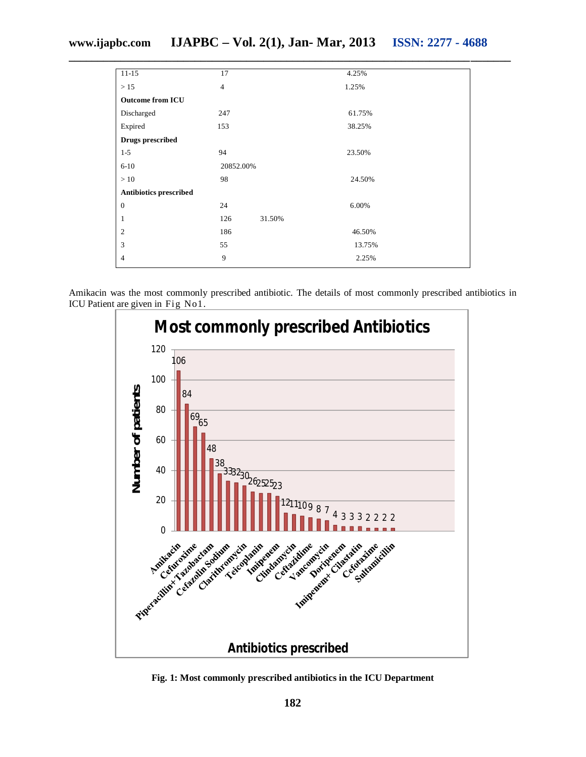### **www.ijapbc.com IJAPBC – Vol. 2(1), Jan- Mar, 2013 ISSN: 2277 - 4688**

| $11 - 15$               | 17             |        | 4.25%  |
|-------------------------|----------------|--------|--------|
| >15                     | $\overline{4}$ |        | 1.25%  |
| <b>Outcome from ICU</b> |                |        |        |
| Discharged              | 247            |        | 61.75% |
| Expired                 | 153            |        | 38.25% |
| <b>Drugs prescribed</b> |                |        |        |
| $1-5$                   | 94             |        | 23.50% |
| $6 - 10$                | 20852.00%      |        |        |
| >10                     | 98             |        | 24.50% |
| Antibiotics prescribed  |                |        |        |
| $\boldsymbol{0}$        | 24             |        | 6.00%  |
| 1                       | 126            | 31.50% |        |
| $\mathfrak{2}$          | 186            |        | 46.50% |
| 3                       | 55             |        | 13.75% |
| $\overline{4}$          | 9              |        | 2.25%  |
|                         |                |        |        |

Amikacin was the most commonly prescribed antibiotic. The details of most commonly prescribed antibiotics in ICU Patient are given in Fig No1.



**Fig. 1: Most commonly prescribed antibiotics in the ICU Department**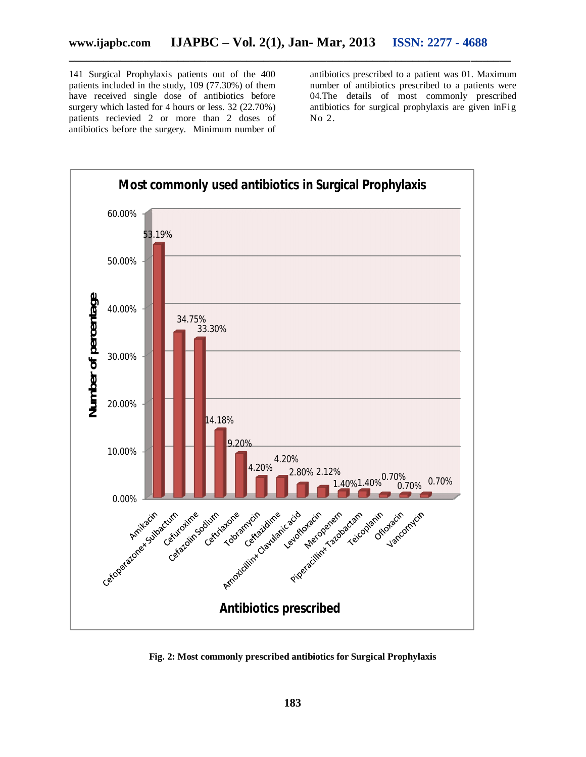141 Surgical Prophylaxis patients out of the 400 patients included in the study, 109 (77.30%) of them have received single dose of antibiotics before surgery which lasted for 4 hours or less. 32 (22.70%) patients recievied 2 or more than 2 doses of antibiotics before the surgery. Minimum number of

antibiotics prescribed to a patient was 01. Maximum number of antibiotics prescribed to a patients were 04.The details of most commonly prescribed antibiotics for surgical prophylaxis are given inFig No 2.



**Fig. 2: Most commonly prescribed antibiotics for Surgical Prophylaxis**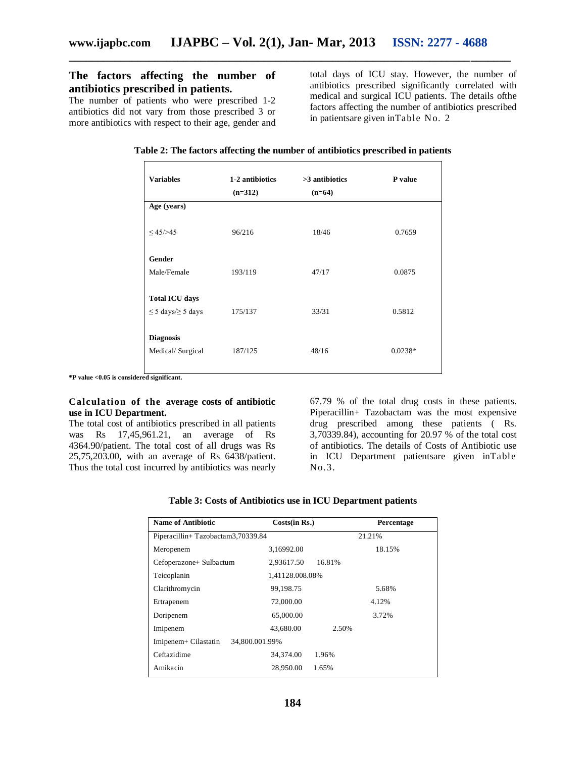#### **The factors affecting the number of antibiotics prescribed in patients.**

The number of patients who were prescribed 1-2 antibiotics did not vary from those prescribed 3 or more antibiotics with respect to their age, gender and total days of ICU stay. However, the number of antibiotics prescribed significantly correlated with medical and surgical ICU patients. The details ofthe factors affecting the number of antibiotics prescribed in patientsare given inTable No. 2

| <b>Variables</b>             | 1-2 antibiotics<br>$(n=312)$ | $>3$ antibiotics<br>$(n=64)$ | P value   |
|------------------------------|------------------------------|------------------------------|-----------|
| Age (years)                  |                              |                              |           |
| $\leq 45/>45$                | 96/216                       | 18/46                        | 0.7659    |
| Gender                       |                              |                              |           |
| Male/Female                  | 193/119                      | 47/17                        | 0.0875    |
|                              |                              |                              |           |
| <b>Total ICU days</b>        |                              |                              |           |
| $\leq$ 5 days/ $\geq$ 5 days | 175/137                      | 33/31                        | 0.5812    |
| <b>Diagnosis</b>             |                              |                              |           |
| Medical/ Surgical            | 187/125                      | 48/16                        | $0.0238*$ |
|                              |                              |                              |           |

**Table 2: The factors affecting the number of antibiotics prescribed in patients**

**\*P value <0.05 is considered significant.**

#### **Calculation of the average costs of antibiotic use in ICU Department.**

The total cost of antibiotics prescribed in all patients was Rs 17,45,961.21, an average of Rs 4364.90/patient. The total cost of all drugs was Rs 25,75,203.00, with an average of Rs 6438/patient. Thus the total cost incurred by antibiotics was nearly

67.79 % of the total drug costs in these patients. Piperacillin+ Tazobactam was the most expensive drug prescribed among these patients ( Rs. 3,70339.84), accounting for 20.97 % of the total cost of antibiotics. The details of Costs of Antibiotic use in ICU Department patientsare given inTable No.3.

| Table 3: Costs of Antibiotics use in ICU Department patients |  |  |  |
|--------------------------------------------------------------|--|--|--|
|--------------------------------------------------------------|--|--|--|

| <b>Name of Antibiotic</b>         | Costs(in Rs.)   |        | Percentage |
|-----------------------------------|-----------------|--------|------------|
| Piperacillin+Tazobactam3,70339.84 |                 |        | 21.21%     |
| Meropenem                         | 3,16992.00      |        | 18.15%     |
| Cefoperazone+ Sulbactum           | 2,93617.50      | 16.81% |            |
| Teicoplanin                       | 1,41128.008.08% |        |            |
| Clarithromycin                    | 99,198.75       |        | 5.68%      |
| Ertrapenem                        | 72,000.00       |        | 4.12%      |
| Doripenem                         | 65,000.00       |        | 3.72%      |
| Imipenem                          | 43,680.00       | 2.50%  |            |
| Imipenem+ Cilastatin              | 34,800.001.99%  |        |            |
| Ceftazidime                       | 34,374.00       | 1.96%  |            |
| Amikacin                          | 28,950.00       | 1.65%  |            |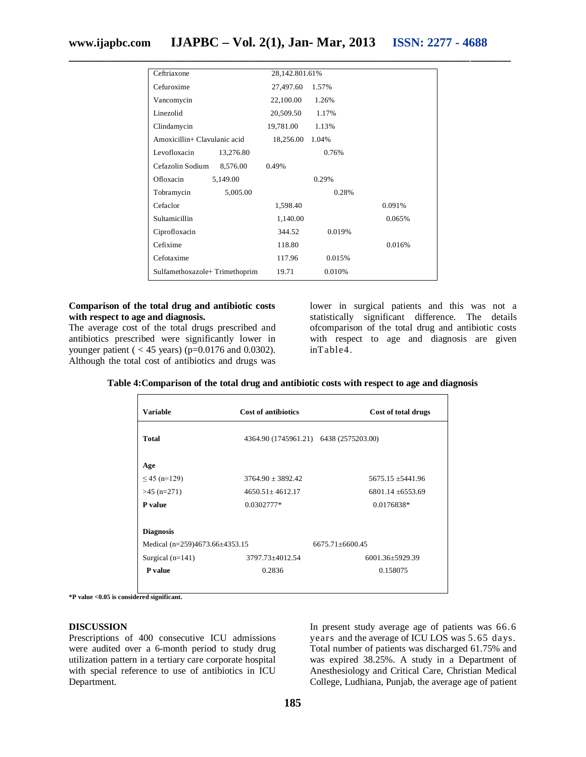| Ceftriaxone                   | 28,142.801.61% |        |        |
|-------------------------------|----------------|--------|--------|
| Cefuroxime                    | 27,497.60      | 1.57%  |        |
| Vancomycin                    | 22,100.00      | 1.26%  |        |
| Linezolid                     | 20,509.50      | 1.17%  |        |
| Clindamycin                   | 19,781.00      | 1.13%  |        |
| Amoxicillin+ Clavulanic acid  | 18,256.00      | 1.04%  |        |
| Levofloxacin<br>13,276.80     |                | 0.76%  |        |
| Cefazolin Sodium<br>8,576.00  | 0.49%          |        |        |
| Ofloxacin<br>5,149.00         |                | 0.29%  |        |
| Tobramycin<br>5,005.00        |                | 0.28%  |        |
| Cefaclor                      | 1,598.40       |        | 0.091% |
| Sultamicillin                 | 1,140.00       |        | 0.065% |
| Ciprofloxacin                 | 344.52         | 0.019% |        |
| Cefixime                      | 118.80         |        | 0.016% |
| Cefotaxime                    | 117.96         | 0.015% |        |
| Sulfamethoxazole+Trimethoprim | 19.71          | 0.010% |        |

#### **Comparison of the total drug and antibiotic costs with respect to age and diagnosis.**

The average cost of the total drugs prescribed and antibiotics prescribed were significantly lower in younger patient (  $<$  45 years) (p=0.0176 and 0.0302). Although the total cost of antibiotics and drugs was

lower in surgical patients and this was not a statistically significant difference. The details ofcomparison of the total drug and antibiotic costs with respect to age and diagnosis are given inTable4.

| <b>Variable</b>                    | <b>Cost of antibiotics</b>             | Cost of total drugs   |
|------------------------------------|----------------------------------------|-----------------------|
| <b>Total</b>                       | 4364.90 (1745961.21) 6438 (2575203.00) |                       |
| Age                                |                                        |                       |
| $\leq$ 45 (n=129)                  | $3764.90 \pm 3892.42$                  | $5675.15 \pm 5441.96$ |
| $>45$ (n=271)                      | $4650.51 \pm 4612.17$                  | $6801.14 \pm 6553.69$ |
| P value                            | 0.0302777*                             | 0.0176838*            |
| <b>Diagnosis</b>                   |                                        |                       |
| Medical $(n=259)4673.66\pm4353.15$ |                                        | 6675.71+6600.45       |
| Surgical $(n=141)$                 | 3797.73±4012.54                        | $6001.36 \pm 5929.39$ |
| P value                            | 0.2836                                 | 0.158075              |

**Table 4:Comparison of the total drug and antibiotic costs with respect to age and diagnosis**

**\*P value <0.05 is considered significant.**

#### **DISCUSSION**

Prescriptions of 400 consecutive ICU admissions were audited over a 6-month period to study drug utilization pattern in a tertiary care corporate hospital with special reference to use of antibiotics in ICU Department.

In present study average age of patients was 66.6 years and the average of ICU LOS was 5.65 days. Total number of patients was discharged 61.75% and was expired 38.25%. A study in a Department of Anesthesiology and Critical Care, Christian Medical College, Ludhiana, Punjab, the average age of patient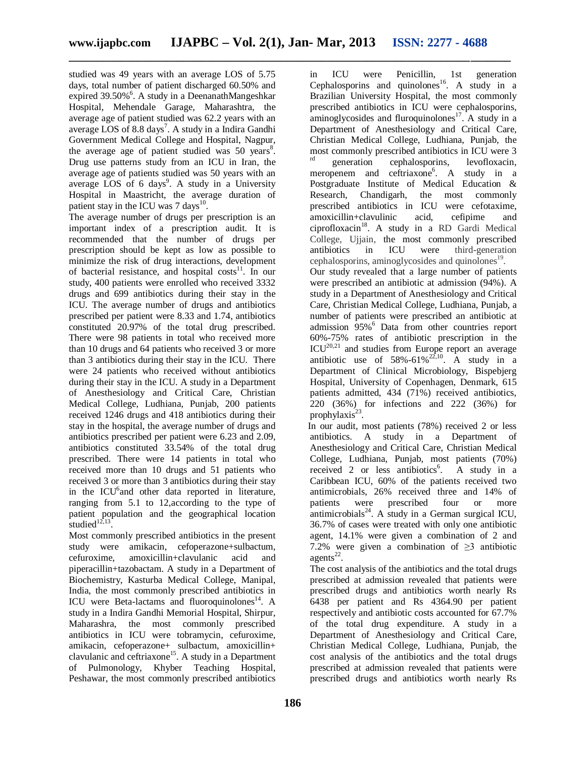studied was 49 years with an average LOS of 5.75 days, total number of patient discharged 60.50% and expired 39.50%<sup>6</sup>. A study in a DeenanathMangeshkar Hospital, Mehendale Garage, Maharashtra, the average age of patient studied was 62.2 years with an average LOS of 8.8 days<sup>7</sup>. A study in a Indira Gandhi Government Medical College and Hospital, Nagpur, the average age of patient studied was  $50$  years<sup>8</sup>. Drug use patterns study from an ICU in Iran, the average age of patients studied was 50 years with an average LOS of 6 days<sup>9</sup>. A study in a University Hospital in Maastricht, the average duration of patient stay in the ICU was 7 days<sup>10</sup>.

The average number of drugs per prescription is an important index of a prescription audit. It is recommended that the number of drugs per prescription should be kept as low as possible to minimize the risk of drug interactions, development of bacterial resistance, and hospital costs $11$ . In our study, 400 patients were enrolled who received 3332 drugs and 699 antibiotics during their stay in the ICU. The average number of drugs and antibiotics prescribed per patient were 8.33 and 1.74, antibiotics constituted 20.97% of the total drug prescribed. There were 98 patients in total who received more than 10 drugs and 64 patients who received 3 or more than 3 antibiotics during their stay in the ICU. There were 24 patients who received without antibiotics during their stay in the ICU. A study in a Department of Anesthesiology and Critical Care, Christian Medical College, Ludhiana, Punjab, 200 patients received 1246 drugs and 418 antibiotics during their stay in the hospital, the average number of drugs and antibiotics prescribed per patient were 6.23 and 2.09, antibiotics constituted 33.54% of the total drug prescribed. There were 14 patients in total who received more than 10 drugs and 51 patients who received 3 or more than 3 antibiotics during their stay in the ICU<sup>6</sup> and other data reported in literature, ranging from 5.1 to 12,according to the type of patient population and the geographical location studied $12,13$ .

Most commonly prescribed antibiotics in the present study were amikacin, cefoperazone+sulbactum, cefuroxime, amoxicillin+clavulanic acid and piperacillin+tazobactam. A study in a Department of Biochemistry, Kasturba Medical College, Manipal, India, the most commonly prescribed antibiotics in ICU were Beta-lactams and fluoroquinolones<sup>14</sup>. A study in a Indira Gandhi Memorial Hospital, Shirpur, Maharashra, the most commonly prescribed antibiotics in ICU were tobramycin, cefuroxime, amikacin, cefoperazone+ sulbactum, amoxicillin+ clavulanic and ceftriaxone<sup>15</sup>. A study in a Department of Pulmonology, Khyber Teaching Hospital, Peshawar, the most commonly prescribed antibiotics

in ICU were Penicillin, 1st generation Cephalosporins and quinolones<sup>16</sup>. A study in a Brazilian University Hospital, the most commonly prescribed antibiotics in ICU were cephalosporins, aminoglycosides and fluroquinolones $17$ . A study in a Department of Anesthesiology and Critical Care, Christian Medical College, Ludhiana, Punjab, the most commonly prescribed antibiotics in ICU were 3 generation cephalosporins, levofloxacin, meropenem and ceftriaxone<sup>6</sup>. A study in a Postgraduate Institute of Medical Education & Research, Chandigarh, the most commonly prescribed antibiotics in ICU were cefotaxime, amoxicillin+clavulinic acid, cefipime and ciprofloxacin<sup>18</sup>. A study in a RD Gardi Medical College, Ujjain, the most commonly prescribed antibiotics in ICU were third-generation cephalosporins, aminoglycosides and quinolones<sup>19</sup>.

Our study revealed that a large number of patients were prescribed an antibiotic at admission (94%). A study in a Department of Anesthesiology and Critical Care, Christian Medical College, Ludhiana, Punjab, a number of patients were prescribed an antibiotic at admission 95%<sup>6</sup> Data from other countries report 60%-75% rates of antibiotic prescription in the  $ICU<sup>20,21</sup>$  and studies from Europe report an average antibiotic use of  $58\% - 61\%^{22,10}$ . A study in a Department of Clinical Microbiology, Bispebjerg Hospital, University of Copenhagen, Denmark, 615 patients admitted, 434 (71%) received antibiotics, 220 (36%) for infections and 222 (36%) for prophylaxis<sup>23</sup>.

In our audit, most patients (78%) received 2 or less antibiotics. A study in a Department of Anesthesiology and Critical Care, Christian Medical College, Ludhiana, Punjab, most patients (70%) received 2 or less antibiotics<sup>6</sup>. A study in a Caribbean ICU, 60% of the patients received two antimicrobials, 26% received three and 14% of patients were prescribed four or more antimicrobials $^{24}$ . A study in a German surgical ICU, 36.7% of cases were treated with only one antibiotic agent, 14.1% were given a combination of 2 and 7.2% were given a combination of  $\geq$ 3 antibiotic  $agents<sup>22</sup>$ .

The cost analysis of the antibiotics and the total drugs prescribed at admission revealed that patients were prescribed drugs and antibiotics worth nearly Rs 6438 per patient and Rs 4364.90 per patient respectively and antibiotic costs accounted for 67.7% of the total drug expenditure. A study in a Department of Anesthesiology and Critical Care, Christian Medical College, Ludhiana, Punjab, the cost analysis of the antibiotics and the total drugs prescribed at admission revealed that patients were prescribed drugs and antibiotics worth nearly Rs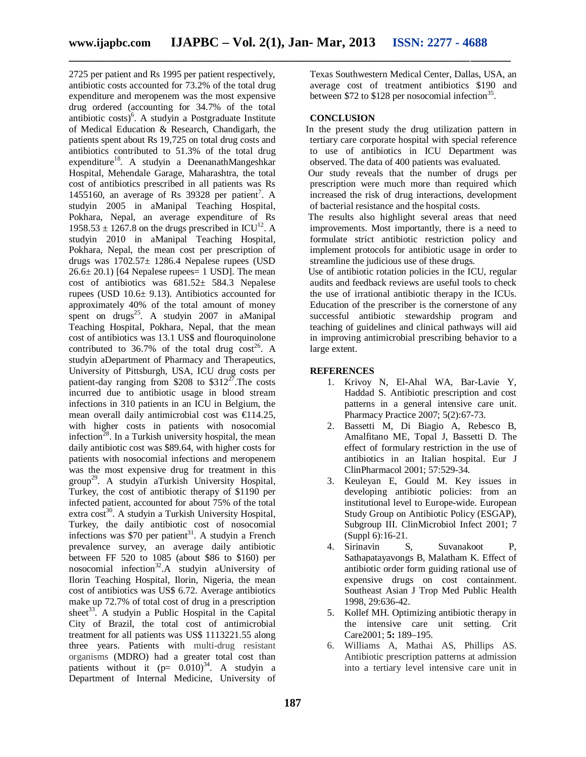2725 per patient and Rs 1995 per patient respectively, antibiotic costs accounted for 73.2% of the total drug expenditure and meropenem was the most expensive drug ordered (accounting for 34.7% of the total antibiotic costs)<sup>6</sup>. A studyin a Postgraduate Institute of Medical Education & Research, Chandigarh, the patients spent about Rs 19,725 on total drug costs and antibiotics contributed to 51.3% of the total drug expenditure<sup>18</sup>. A studyin a DeenanathMangeshkar Hospital, Mehendale Garage, Maharashtra, the total cost of antibiotics prescribed in all patients was Rs 1455160, an average of Rs 39328 per patient<sup>7</sup>. A studyin 2005 in aManipal Teaching Hospital, Pokhara, Nepal, an average expenditure of Rs 1958.53  $\pm$  1267.8 on the drugs prescribed in ICU<sup>12</sup>. A studyin 2010 in aManipal Teaching Hospital, Pokhara, Nepal, the mean cost per prescription of drugs was 1702.57± 1286.4 Nepalese rupees (USD  $26.6 \pm 20.1$  [64 Nepalese rupees= 1 USD]. The mean cost of antibiotics was 681.52± 584.3 Nepalese rupees (USD 10.6± 9.13). Antibiotics accounted for approximately 40% of the total amount of money spent on drugs<sup>25</sup>. A studyin 2007 in aManipal Teaching Hospital, Pokhara, Nepal, that the mean cost of antibiotics was 13.1 US\$ and flouroquinolone contributed to  $36.7\%$  of the total drug  $\cos t^{26}$ . A studyin aDepartment of Pharmacy and Therapeutics, University of Pittsburgh, USA, ICU drug costs per patient-day ranging from \$208 to  $$312^{27}$ . The costs incurred due to antibiotic usage in blood stream infections in 310 patients in an ICU in Belgium, the mean overall daily antimicrobial cost was €114.25, with higher costs in patients with nosocomial infection<sup>28</sup>. In a Turkish university hospital, the mean daily antibiotic cost was \$89.64, with higher costs for patients with nosocomial infections and meropenem was the most expensive drug for treatment in this group<sup>29</sup>. A studyin aTurkish University Hospital, Turkey, the cost of antibiotic therapy of \$1190 per infected patient, accounted for about 75% of the total extra  $\cos^{30}$ . A studyin a Turkish University Hospital, Turkey, the daily antibiotic cost of nosocomial infections was  $$70$  per patient<sup>31</sup>. A studyin a French prevalence survey, an average daily antibiotic between FF 520 to 1085 (about \$86 to \$160) per nosocomial infection<sup>32</sup>.A studyin aUniversity of Ilorin Teaching Hospital, Ilorin, Nigeria, the mean cost of antibiotics was US\$ 6.72. Average antibiotics make up 72.7% of total cost of drug in a prescription sheet<sup>33</sup>. A studyin a Public Hospital in the Capital City of Brazil, the total cost of antimicrobial treatment for all patients was US\$ 1113221.55 along three years. Patients with multi-drug resistant organisms (MDRO) had a greater total cost than patients without it  $(p= 0.010)^{34}$ . A studyin a Department of Internal Medicine, University of

Texas Southwestern Medical Center, Dallas, USA, an average cost of treatment antibiotics \$190 and between \$72 to \$128 per nosocomial infection<sup>35</sup>.

#### **CONCLUSION**

In the present study the drug utilization pattern in tertiary care corporate hospital with special reference to use of antibiotics in ICU Department was observed. The data of 400 patients was evaluated.

Our study reveals that the number of drugs per prescription were much more than required which increased the risk of drug interactions, development of bacterial resistance and the hospital costs.

The results also highlight several areas that need improvements. Most importantly, there is a need to formulate strict antibiotic restriction policy and implement protocols for antibiotic usage in order to streamline the judicious use of these drugs.

Use of antibiotic rotation policies in the ICU, regular audits and feedback reviews are useful tools to check the use of irrational antibiotic therapy in the ICUs. Education of the prescriber is the cornerstone of any successful antibiotic stewardship program and teaching of guidelines and clinical pathways will aid in improving antimicrobial prescribing behavior to a large extent.

#### **REFERENCES**

- 1. Krivoy N, El-Ahal WA, Bar-Lavie Y, Haddad S. Antibiotic prescription and cost patterns in a general intensive care unit. Pharmacy Practice 2007; 5(2):67-73.
- 2. Bassetti M, Di Biagio A, Rebesco B, Amalfitano ME, Topal J, Bassetti D. The effect of formulary restriction in the use of antibiotics in an Italian hospital. Eur J ClinPharmacol 2001; 57:529-34.
- 3. Keuleyan E, Gould M. Key issues in developing antibiotic policies: from an institutional level to Europe-wide. European Study Group on Antibiotic Policy (ESGAP), Subgroup III. ClinMicrobiol Infect 2001; 7 (Suppl 6):16-21.
- 4. Sirinavin S, Suvanakoot P, Sathapatayavongs B, Malatham K. Effect of antibiotic order form guiding rational use of expensive drugs on cost containment. Southeast Asian J Trop Med Public Health 1998, 29:636-42.
- 5. Kollef MH. Optimizing antibiotic therapy in the intensive care unit setting. Crit Care2001; **5:** 189–195.
- 6. Williams A, Mathai AS, Phillips AS. Antibiotic prescription patterns at admission into a tertiary level intensive care unit in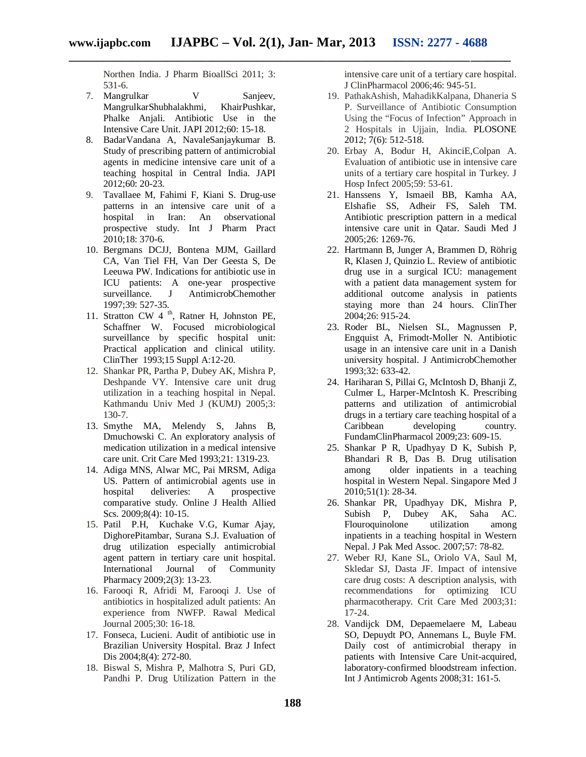Northen India. J Pharm BioallSci 2011; 3: 531-6.

- 7. Mangrulkar V Sanjeev, MangrulkarShubhalakhmi, KhairPushkar, Phalke Anjali. Antibiotic Use in the Intensive Care Unit. JAPI 2012;60: 15-18.
- 8. BadarVandana A, NavaleSanjaykumar B. Study of prescribing pattern of antimicrobial agents in medicine intensive care unit of a teaching hospital in Central India. JAPI 2012;60: 20-23.
- 9. Tavallaee M, Fahimi F, Kiani S. Drug-use patterns in an intensive care unit of a hospital in Iran: An observational prospective study. Int J Pharm Pract 2010;18: 370-6.
- 10. Bergmans DCJJ, Bontena MJM, Gaillard CA, Van Tiel FH, Van Der Geesta S, De Leeuwa PW. Indications for antibiotic use in ICU patients: A one-year prospective<br>surveillance. J AntimicrobChemother J AntimicrobChemother 1997;39: 527-35.
- 11. Stratton CW 4<sup>th</sup>, Ratner H, Johnston PE, Schaffner W. Focused microbiological surveillance by specific hospital unit: Practical application and clinical utility. ClinTher 1993;15 Suppl A:12-20.
- 12. Shankar PR, Partha P, Dubey AK, Mishra P, Deshpande VY. Intensive care unit drug utilization in a teaching hospital in Nepal. Kathmandu Univ Med J (KUMJ) 2005;3: 130-7.
- 13. Smythe MA, Melendy S, Jahns B, Dmuchowski C. An exploratory analysis of medication utilization in a medical intensive care unit. Crit Care Med 1993;21: 1319-23.
- 14. Adiga MNS, Alwar MC, Pai MRSM, Adiga US. Pattern of antimicrobial agents use in hospital deliveries: A prospective comparative study. Online J Health Allied Scs. 2009;8(4): 10-15.
- 15. Patil P.H, Kuchake V.G, Kumar Ajay, DighorePitambar, Surana S.J. Evaluation of drug utilization especially antimicrobial agent pattern in tertiary care unit hospital. International Journal of Community Pharmacy 2009;2(3): 13-23.
- 16. Farooqi R, Afridi M, Farooqi J. Use of antibiotics in hospitalized adult patients: An experience from NWFP. Rawal Medical Journal 2005;30: 16-18.
- 17. Fonseca, Lucieni. Audit of antibiotic use in Brazilian University Hospital. Braz J Infect Dis 2004;8(4): 272-80.
- 18. Biswal S, Mishra P, Malhotra S, Puri GD, Pandhi P. Drug Utilization Pattern in the

intensive care unit of a tertiary care hospital. J ClinPharmacol 2006;46: 945-51.

- 19. PathakAshish, MahadikKalpana, Dhaneria S P. Surveillance of Antibiotic Consumption Using the "Focus of Infection" Approach in 2 Hospitals in Ujjain, India. PLOSONE 2012; 7(6): 512-518.
- 20. Erbay A, Bodur H, AkinciE,Colpan A. Evaluation of antibiotic use in intensive care units of a tertiary care hospital in Turkey. J Hosp Infect 2005;59: 53-61.
- 21. Hanssens Y, Ismaeil BB, Kamha AA, Elshafie SS, Adheir FS, Saleh TM. Antibiotic prescription pattern in a medical intensive care unit in Qatar. Saudi Med J 2005;26: 1269-76.
- 22. Hartmann B, Junger A, Brammen D, Röhrig R, Klasen J, Quinzio L. Review of antibiotic drug use in a surgical ICU: management with a patient data management system for additional outcome analysis in patients staying more than 24 hours. ClinTher 2004;26: 915-24.
- 23. Roder BL, Nielsen SL, Magnussen P, Engquist A, Frimodt-Moller N. Antibiotic usage in an intensive care unit in a Danish university hospital. J AntimicrobChemother 1993;32: 633-42.
- 24. Hariharan S, Pillai G, McIntosh D, Bhanji Z, Culmer L, Harper-McIntosh K. Prescribing patterns and utilization of antimicrobial drugs in a tertiary care teaching hospital of a Caribbean developing country. FundamClinPharmacol 2009;23: 609-15.
- 25. Shankar P R, Upadhyay D K, Subish P, Bhandari R B, Das B. Drug utilisation among older inpatients in a teaching hospital in Western Nepal. Singapore Med J 2010;51(1): 28-34.
- 26. Shankar PR, Upadhyay DK, Mishra P, Subish P, Dubey AK, Saha AC. Flouroquinolone utilization among inpatients in a teaching hospital in Western Nepal. J Pak Med Assoc. 2007;57: 78-82.
- 27. Weber RJ, Kane SL, Oriolo VA, Saul M, Skledar SJ, Dasta JF. Impact of intensive care drug costs: A description analysis, with recommendations for optimizing ICU pharmacotherapy. Crit Care Med 2003;31: 17-24.
- 28. Vandijck DM, Depaemelaere M, Labeau SO, Depuydt PO, Annemans L, Buyle FM. Daily cost of antimicrobial therapy in patients with Intensive Care Unit-acquired, laboratory-confirmed bloodstream infection. Int J Antimicrob Agents 2008;31: 161-5.